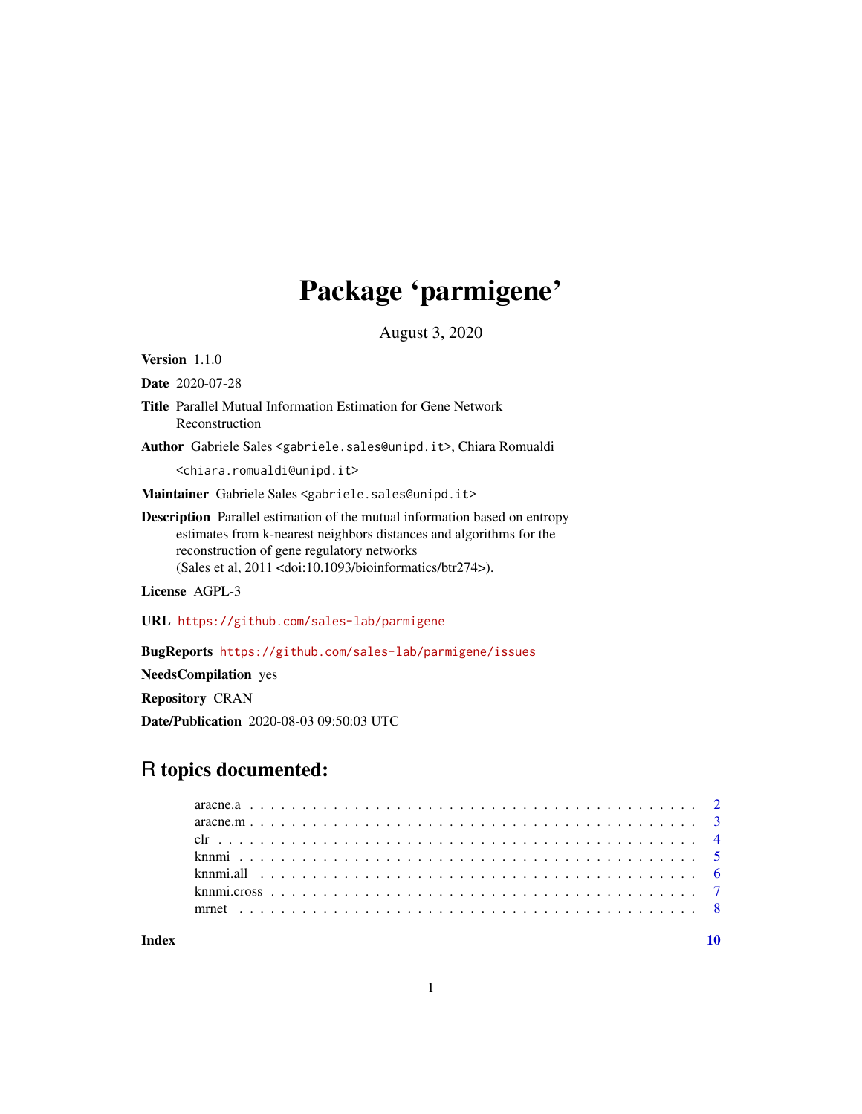# Package 'parmigene'

August 3, 2020

Version 1.1.0

Date 2020-07-28

- Title Parallel Mutual Information Estimation for Gene Network Reconstruction
- Author Gabriele Sales <gabriele.sales@unipd.it>, Chiara Romualdi

<chiara.romualdi@unipd.it>

Maintainer Gabriele Sales <gabriele.sales@unipd.it>

Description Parallel estimation of the mutual information based on entropy estimates from k-nearest neighbors distances and algorithms for the reconstruction of gene regulatory networks (Sales et al, 2011 <doi:10.1093/bioinformatics/btr274>).

License AGPL-3

URL <https://github.com/sales-lab/parmigene>

BugReports <https://github.com/sales-lab/parmigene/issues>

NeedsCompilation yes

Repository CRAN

Date/Publication 2020-08-03 09:50:03 UTC

## R topics documented:

 $\blacksquare$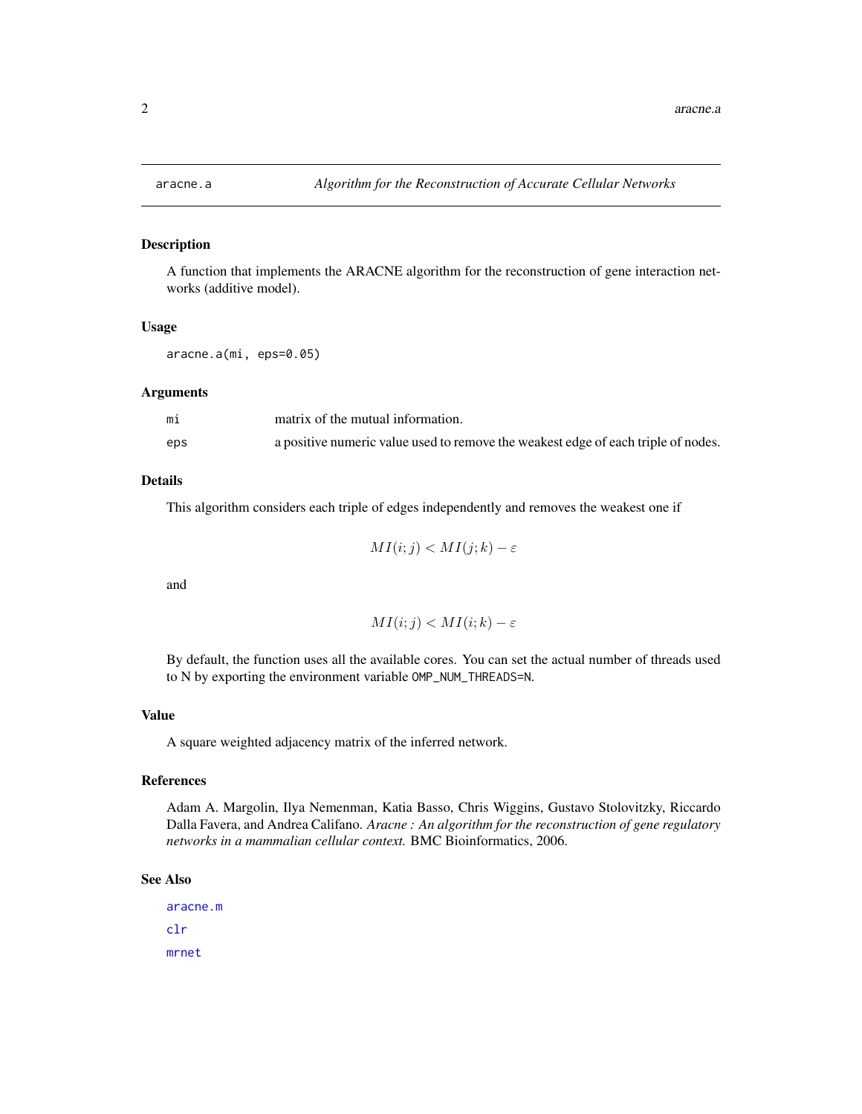<span id="page-1-1"></span><span id="page-1-0"></span>

#### Description

A function that implements the ARACNE algorithm for the reconstruction of gene interaction networks (additive model).

#### Usage

aracne.a(mi, eps=0.05)

#### Arguments

| mi  | matrix of the mutual information.                                                 |
|-----|-----------------------------------------------------------------------------------|
| eps | a positive numeric value used to remove the weakest edge of each triple of nodes. |

#### Details

This algorithm considers each triple of edges independently and removes the weakest one if

$$
MI(i;j) < MI(j;k) - \varepsilon
$$

and

$$
MI(i;j) < MI(i;k) - \varepsilon
$$

By default, the function uses all the available cores. You can set the actual number of threads used to N by exporting the environment variable OMP\_NUM\_THREADS=N.

#### Value

A square weighted adjacency matrix of the inferred network.

#### References

Adam A. Margolin, Ilya Nemenman, Katia Basso, Chris Wiggins, Gustavo Stolovitzky, Riccardo Dalla Favera, and Andrea Califano. *Aracne : An algorithm for the reconstruction of gene regulatory networks in a mammalian cellular context.* BMC Bioinformatics, 2006.

#### See Also

[aracne.m](#page-2-1) [clr](#page-3-1) [mrnet](#page-7-1)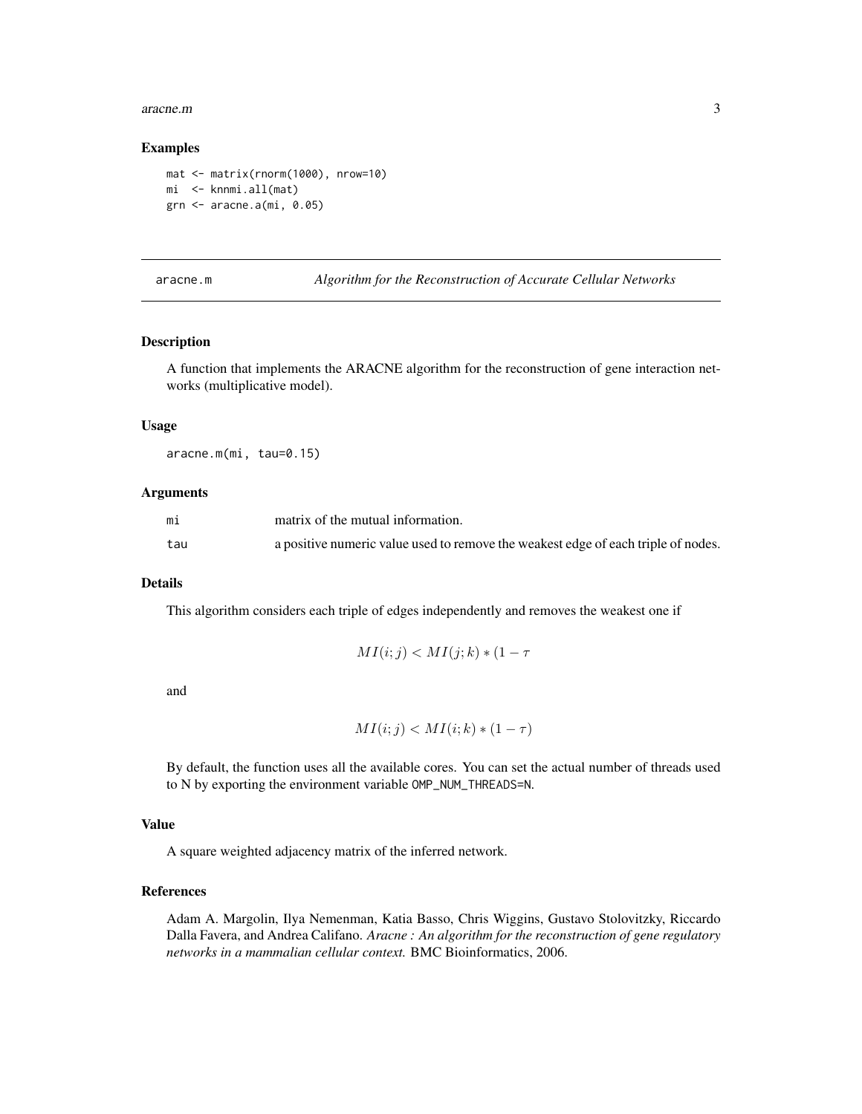#### <span id="page-2-0"></span>aracne.m 3

#### Examples

```
mat <- matrix(rnorm(1000), nrow=10)
mi <- knnmi.all(mat)
grn <- aracne.a(mi, 0.05)
```
<span id="page-2-1"></span>aracne.m *Algorithm for the Reconstruction of Accurate Cellular Networks*

#### Description

A function that implements the ARACNE algorithm for the reconstruction of gene interaction networks (multiplicative model).

#### Usage

aracne.m(mi, tau=0.15)

#### Arguments

| mi  | matrix of the mutual information.                                                 |
|-----|-----------------------------------------------------------------------------------|
| tau | a positive numeric value used to remove the weakest edge of each triple of nodes. |

#### Details

This algorithm considers each triple of edges independently and removes the weakest one if

$$
MI(i;j) < MI(j;k) * (1 - \tau)
$$

and

$$
MI(i;j) < MI(i;k) * (1-\tau)
$$

By default, the function uses all the available cores. You can set the actual number of threads used to N by exporting the environment variable OMP\_NUM\_THREADS=N.

#### Value

A square weighted adjacency matrix of the inferred network.

#### References

Adam A. Margolin, Ilya Nemenman, Katia Basso, Chris Wiggins, Gustavo Stolovitzky, Riccardo Dalla Favera, and Andrea Califano. *Aracne : An algorithm for the reconstruction of gene regulatory networks in a mammalian cellular context.* BMC Bioinformatics, 2006.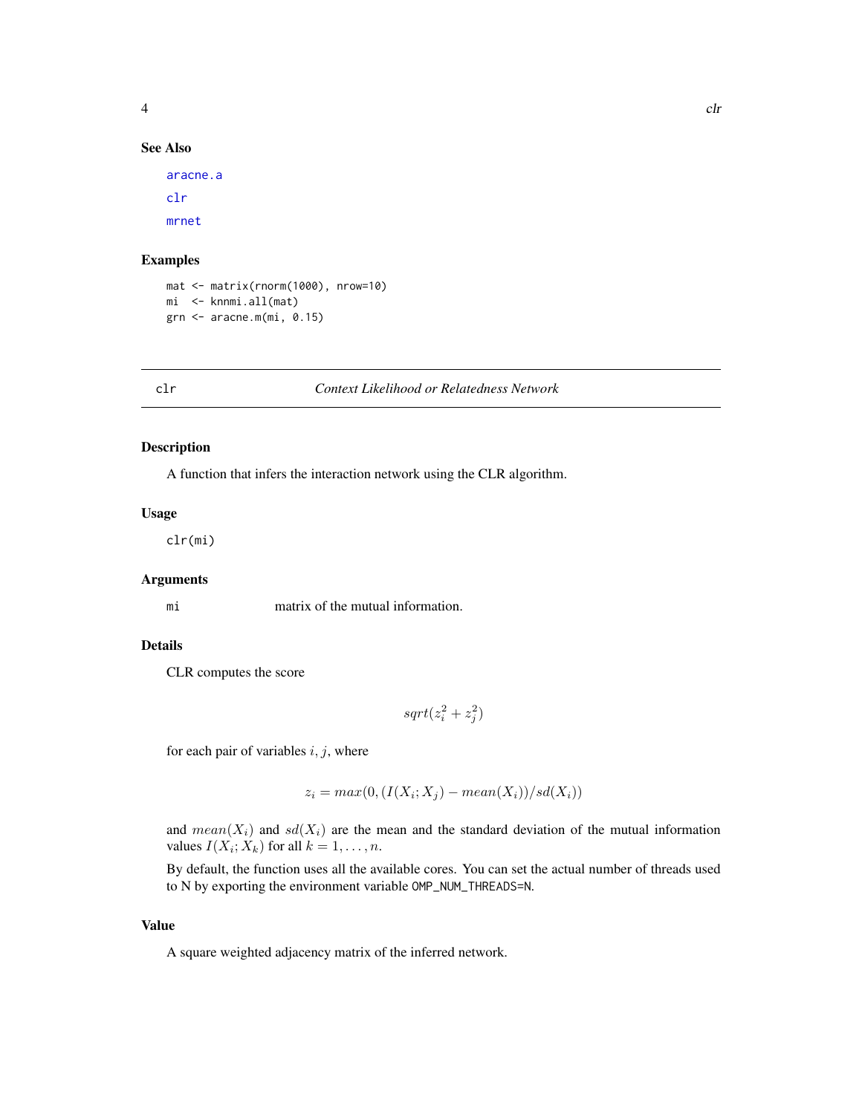<span id="page-3-0"></span>

#### See Also

[aracne.a](#page-1-1) [clr](#page-3-1) [mrnet](#page-7-1)

#### Examples

```
mat <- matrix(rnorm(1000), nrow=10)
mi <- knnmi.all(mat)
grn <- aracne.m(mi, 0.15)
```
#### <span id="page-3-1"></span>clr *Context Likelihood or Relatedness Network*

#### Description

A function that infers the interaction network using the CLR algorithm.

#### Usage

clr(mi)

#### Arguments

mi matrix of the mutual information.

#### Details

CLR computes the score

 $sqrt(z_i^2 + z_j^2)$ 

for each pair of variables  $i, j$ , where

$$
z_i = max(0, (I(X_i; X_j) - mean(X_i))/sd(X_i))
$$

and  $mean(X_i)$  and  $sd(X_i)$  are the mean and the standard deviation of the mutual information values  $I(X_i; X_k)$  for all  $k = 1, \ldots, n$ .

By default, the function uses all the available cores. You can set the actual number of threads used to N by exporting the environment variable OMP\_NUM\_THREADS=N.

#### Value

A square weighted adjacency matrix of the inferred network.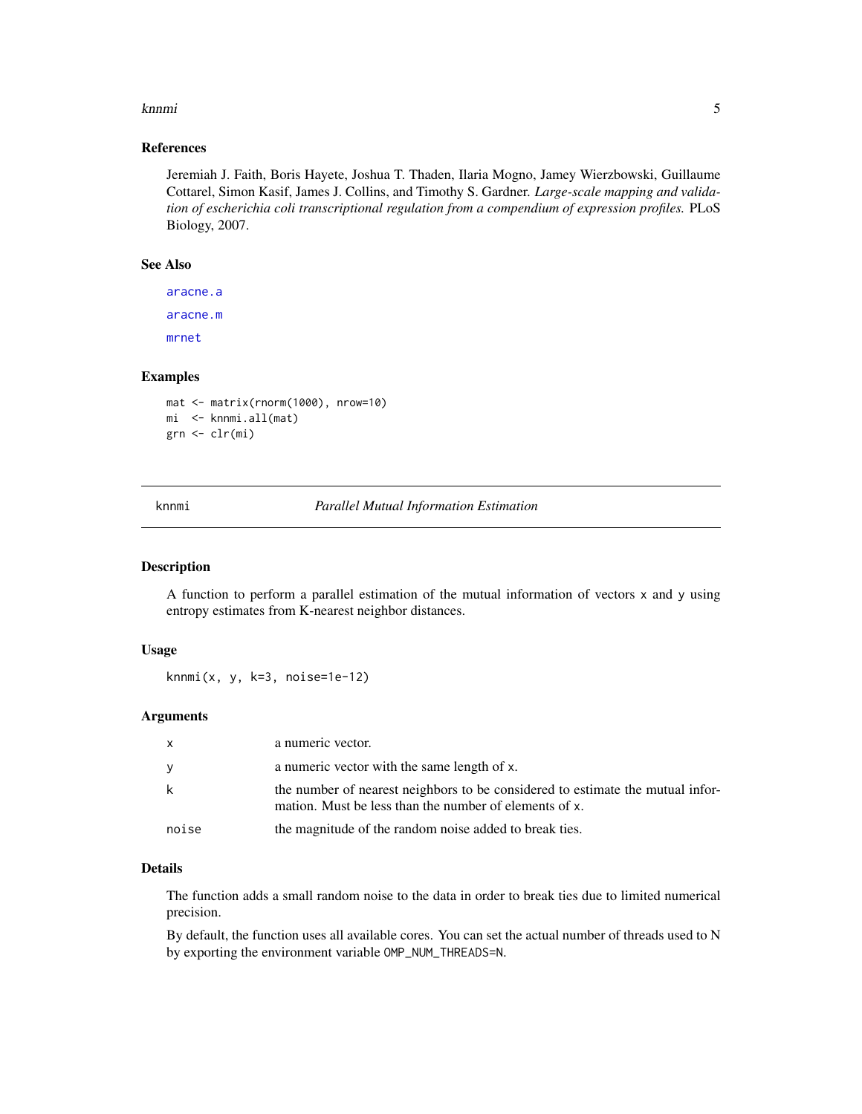#### <span id="page-4-0"></span>knnmi 500 stofaundi 1990 stofaundi 1990 stofaundi 1990 stofaundi 1990 stofaundi 1990 stofaundi 1990 stofaundi

#### References

Jeremiah J. Faith, Boris Hayete, Joshua T. Thaden, Ilaria Mogno, Jamey Wierzbowski, Guillaume Cottarel, Simon Kasif, James J. Collins, and Timothy S. Gardner. *Large-scale mapping and validation of escherichia coli transcriptional regulation from a compendium of expression profiles.* PLoS Biology, 2007.

#### See Also

[aracne.a](#page-1-1) [aracne.m](#page-2-1) [mrnet](#page-7-1)

#### Examples

```
mat <- matrix(rnorm(1000), nrow=10)
mi <- knnmi.all(mat)
grn <- clr(mi)
```
<span id="page-4-1"></span>knnmi *Parallel Mutual Information Estimation*

#### Description

A function to perform a parallel estimation of the mutual information of vectors x and y using entropy estimates from K-nearest neighbor distances.

#### Usage

knnmi(x, y, k=3, noise=1e-12)

#### Arguments

| X     | a numeric vector.                                                                                                                        |
|-------|------------------------------------------------------------------------------------------------------------------------------------------|
| У     | a numeric vector with the same length of x.                                                                                              |
| k     | the number of nearest neighbors to be considered to estimate the mutual infor-<br>mation. Must be less than the number of elements of x. |
| noise | the magnitude of the random noise added to break ties.                                                                                   |

#### Details

The function adds a small random noise to the data in order to break ties due to limited numerical precision.

By default, the function uses all available cores. You can set the actual number of threads used to N by exporting the environment variable OMP\_NUM\_THREADS=N.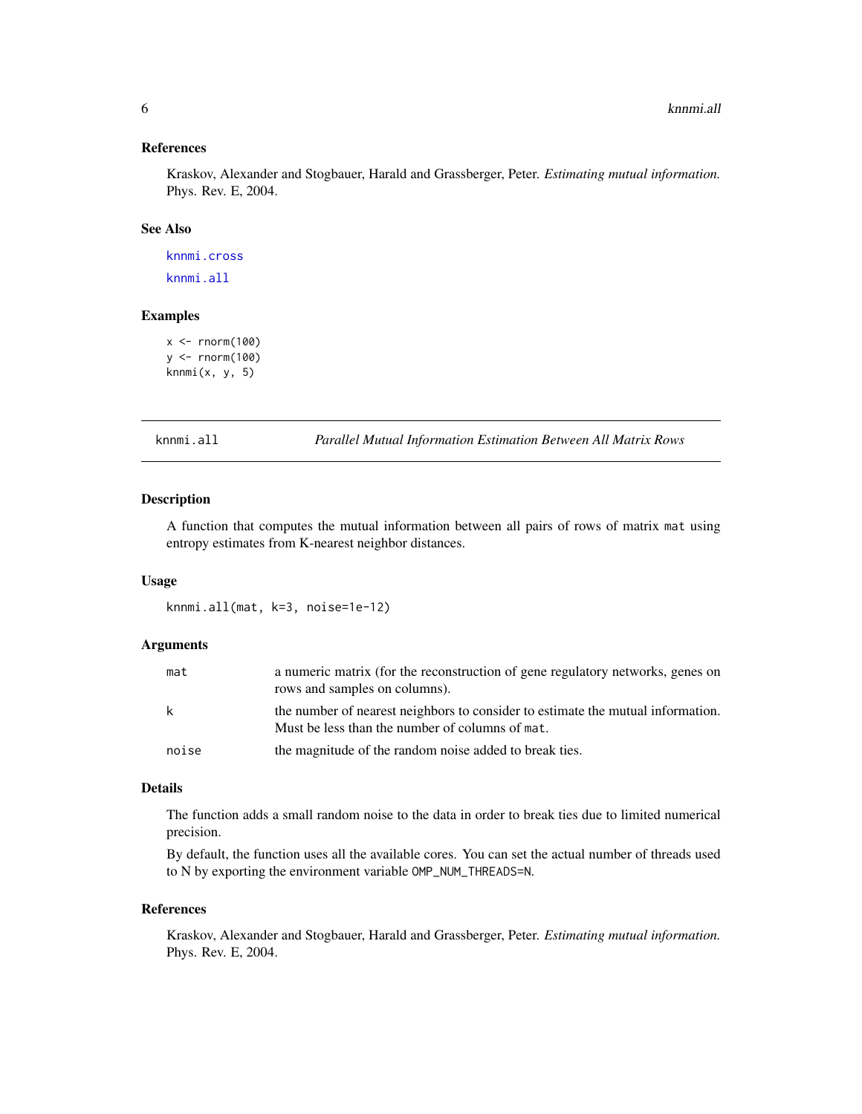#### <span id="page-5-0"></span>References

Kraskov, Alexander and Stogbauer, Harald and Grassberger, Peter. *Estimating mutual information.* Phys. Rev. E, 2004.

#### See Also

[knnmi.cross](#page-6-1) [knnmi.all](#page-5-1)

#### Examples

```
x < - rnorm(100)
y <- rnorm(100)
knnmi(x, y, 5)
```
<span id="page-5-1"></span>knnmi.all *Parallel Mutual Information Estimation Between All Matrix Rows*

#### Description

A function that computes the mutual information between all pairs of rows of matrix mat using entropy estimates from K-nearest neighbor distances.

#### Usage

knnmi.all(mat, k=3, noise=1e-12)

#### Arguments

| mat   | a numeric matrix (for the reconstruction of gene regulatory networks, genes on<br>rows and samples on columns).                    |
|-------|------------------------------------------------------------------------------------------------------------------------------------|
| k     | the number of nearest neighbors to consider to estimate the mutual information.<br>Must be less than the number of columns of mat. |
| noise | the magnitude of the random noise added to break ties.                                                                             |

#### Details

The function adds a small random noise to the data in order to break ties due to limited numerical precision.

By default, the function uses all the available cores. You can set the actual number of threads used to N by exporting the environment variable OMP\_NUM\_THREADS=N.

#### References

Kraskov, Alexander and Stogbauer, Harald and Grassberger, Peter. *Estimating mutual information.* Phys. Rev. E, 2004.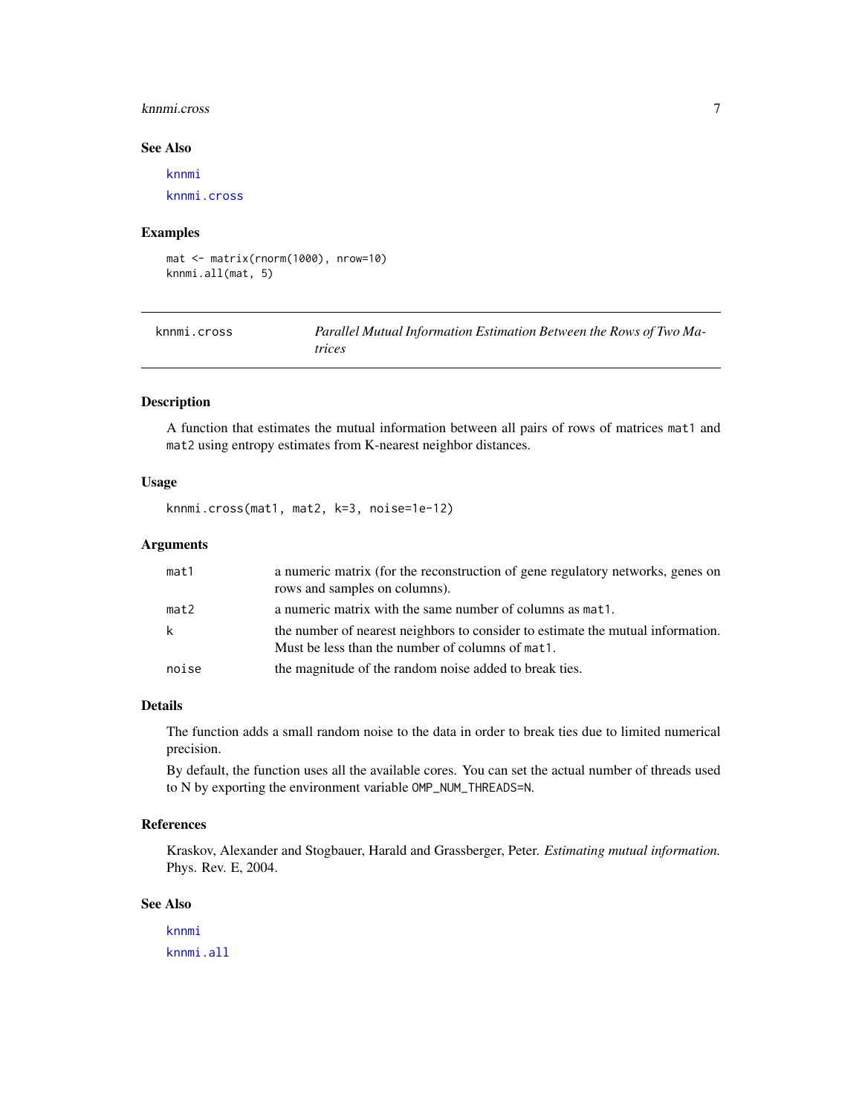#### <span id="page-6-0"></span>knnmi.cross 7

#### See Also

[knnmi](#page-4-1) [knnmi.cross](#page-6-1)

#### Examples

mat <- matrix(rnorm(1000), nrow=10) knnmi.all(mat, 5)

<span id="page-6-1"></span>

| knnmi.cross | Parallel Mutual Information Estimation Between the Rows of Two Ma- |
|-------------|--------------------------------------------------------------------|
|             | trices                                                             |

#### Description

A function that estimates the mutual information between all pairs of rows of matrices mat1 and mat2 using entropy estimates from K-nearest neighbor distances.

#### Usage

knnmi.cross(mat1, mat2, k=3, noise=1e-12)

#### Arguments

| mat1  | a numeric matrix (for the reconstruction of gene regulatory networks, genes on<br>rows and samples on columns).                     |
|-------|-------------------------------------------------------------------------------------------------------------------------------------|
| mat2  | a numeric matrix with the same number of columns as mat1.                                                                           |
| k     | the number of nearest neighbors to consider to estimate the mutual information.<br>Must be less than the number of columns of mat1. |
| noise | the magnitude of the random noise added to break ties.                                                                              |

#### Details

The function adds a small random noise to the data in order to break ties due to limited numerical precision.

By default, the function uses all the available cores. You can set the actual number of threads used to N by exporting the environment variable OMP\_NUM\_THREADS=N.

#### References

Kraskov, Alexander and Stogbauer, Harald and Grassberger, Peter. *Estimating mutual information.* Phys. Rev. E, 2004.

#### See Also

[knnmi](#page-4-1) [knnmi.all](#page-5-1)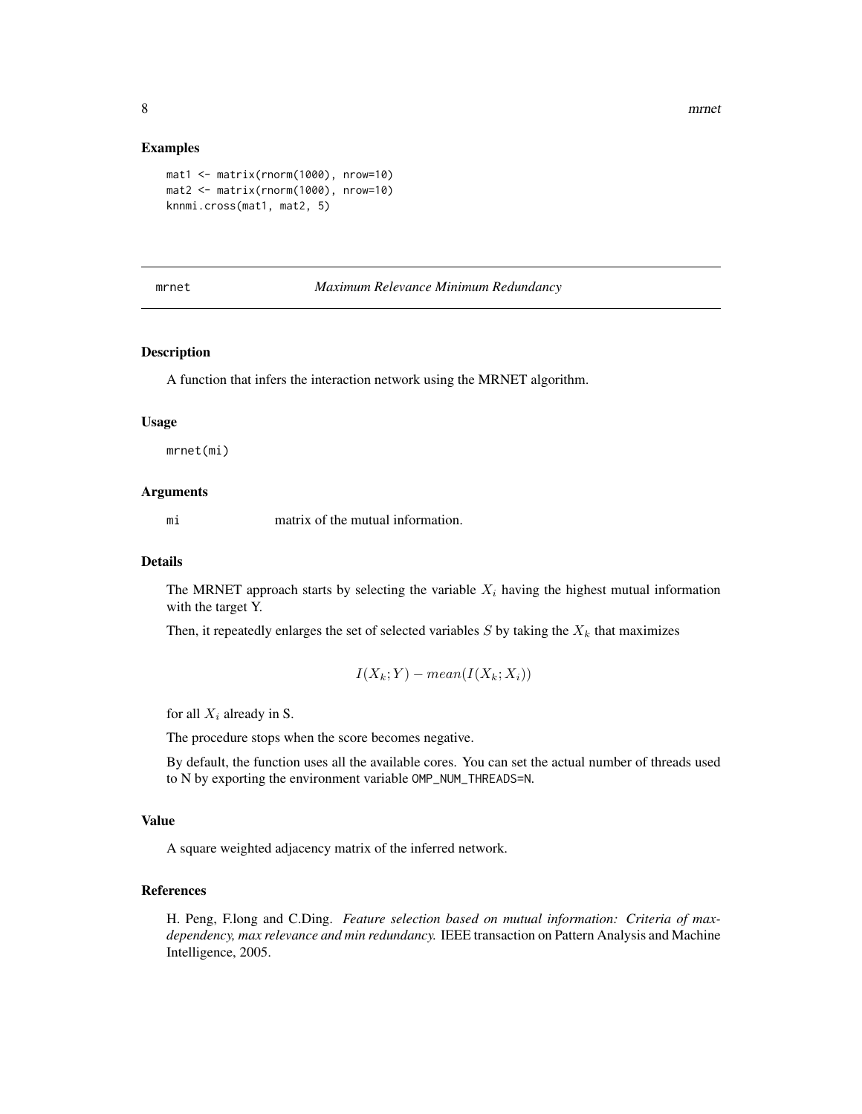<span id="page-7-0"></span>8 mrnet was a series of the contract of the contract of the contract of the contract of the contract of the contract of the contract of the contract of the contract of the contract of the contract of the contract of the co

#### Examples

```
mat1 <- matrix(rnorm(1000), nrow=10)
mat2 <- matrix(rnorm(1000), nrow=10)
knnmi.cross(mat1, mat2, 5)
```
#### <span id="page-7-1"></span>mrnet *Maximum Relevance Minimum Redundancy*

#### Description

A function that infers the interaction network using the MRNET algorithm.

#### Usage

mrnet(mi)

#### Arguments

mi matrix of the mutual information.

#### Details

The MRNET approach starts by selecting the variable  $X_i$  having the highest mutual information with the target Y.

Then, it repeatedly enlarges the set of selected variables  $S$  by taking the  $X_k$  that maximizes

$$
I(X_k;Y) - mean(I(X_k;X_i))
$$

for all  $X_i$  already in S.

The procedure stops when the score becomes negative.

By default, the function uses all the available cores. You can set the actual number of threads used to N by exporting the environment variable OMP\_NUM\_THREADS=N.

#### Value

A square weighted adjacency matrix of the inferred network.

#### References

H. Peng, F.long and C.Ding. *Feature selection based on mutual information: Criteria of maxdependency, max relevance and min redundancy.* IEEE transaction on Pattern Analysis and Machine Intelligence, 2005.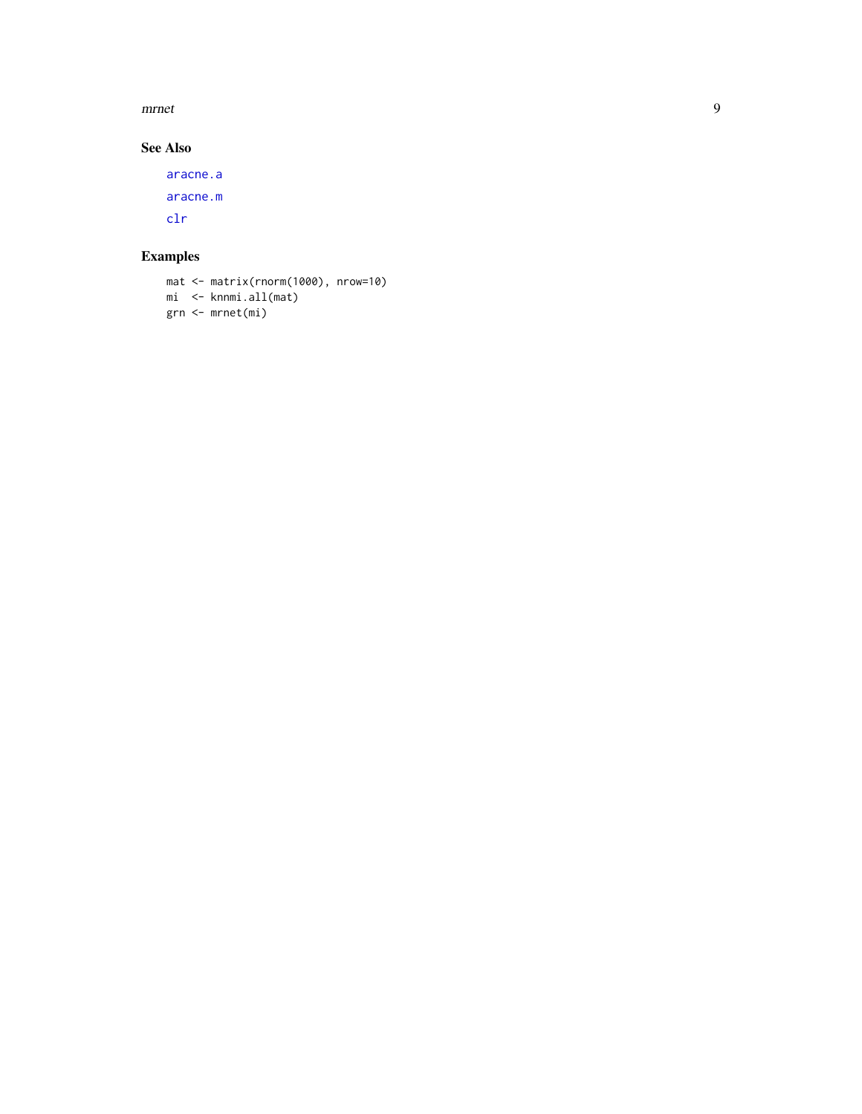<span id="page-8-0"></span> $\it m r net$ 

#### **See Also**

aracne.a aracne.m  $clr$ 

### **Examples**

```
mat < -matrix(rnorm(1000), nrow=10)mi <- knnmi.all(mat)
grn <- mrnet(mi)
```